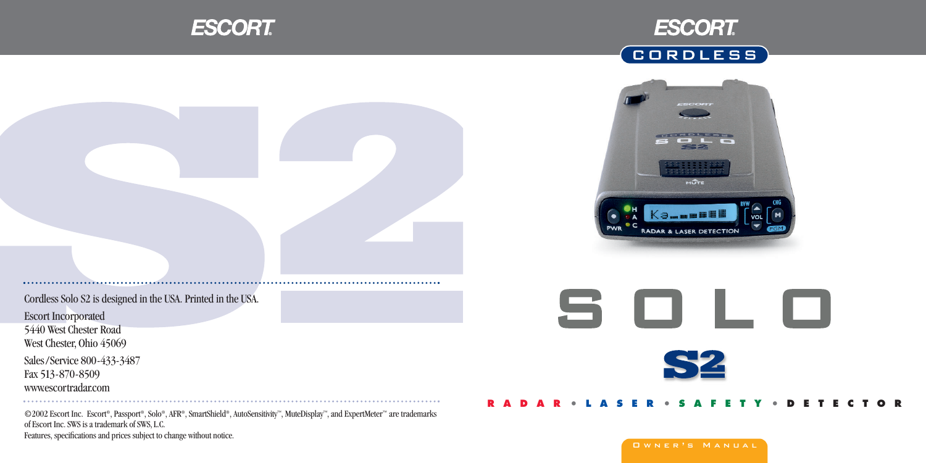





Cordless Solo S2 is designed in the USA. Printed in the USA.

Escort Incorporated 5440 West Chester Road West Chester, Ohio 45069

Sales /Service 800-433-3487 Fax 513-870-8509 www.escortradar.com

©2002 Escort Inc. Escort®, Passport®, Solo®, AFR®, SmartShield®, AutoSensitivity™, MuteDisplay™, and ExpertMeter™ are trademarks of Escort Inc. SWS is a trademark of SWS, L.C. Features, specifications and prices subject to change without notice.

S O L O **S2** 

#### **RADAR • LASER • SAFETY • DETECTOR**

#### Owner's Manual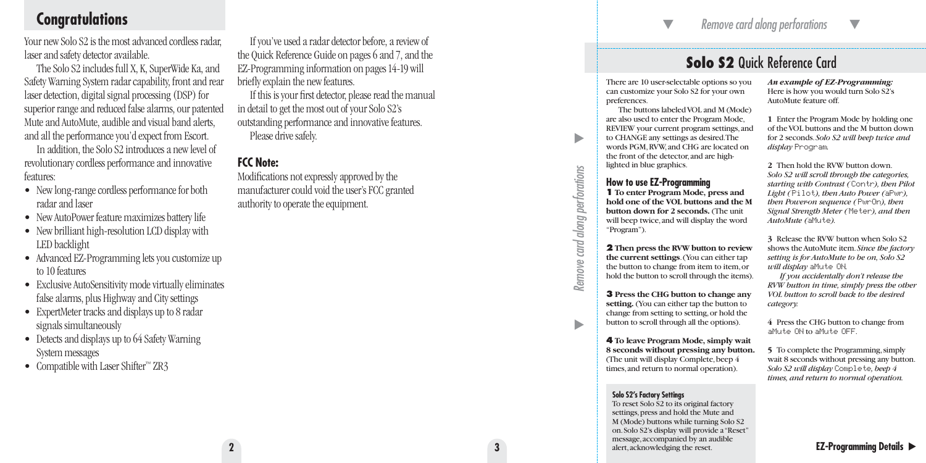# **Congratulations**

Your new Solo S2 is the most advanced cordless radar, laser and safety detector available.

The Solo S2 includes full X, K, SuperWide Ka, and Safety Warning System radar capability, front and rear laser detection, digital signal processing (DSP) for superior range and reduced false alarms, our patented Mute and AutoMute, audible and visual band alerts, and all the performance you'd expect from Escort.

In addition, the Solo S2 introduces a new level of revolutionary cordless performance and innovative features:

- New long-range cordless performance for both radar and laser
- New AutoPower feature maximizes battery life
- New brilliant high-resolution LCD display with LED backlight
- Advanced EZ-Programming lets you customize up to 10 features
- Exclusive AutoSensitivity mode virtually eliminates false alarms, plus Highway and City settings
- ExpertMeter tracks and displays up to 8 radar signals simultaneously
- Detects and displays up to 64 Safety Warning System messages
- Compatible with Laser Shifter™ ZR3

If you've used a radar detector before, a review of the Quick Reference Guide on pages 6 and 7, and the EZ-Programming information on pages 14-19 will briefly explain the new features.

If this is your first detector, please read the manual in detail to get the most out of your Solo S2's outstanding performance and innovative features. Please drive safely.

### **FCC Note:**

Modifications not expressly approved by the manufacturer could void the user's FCC granted authority to operate the equipment.

# **Solo S2** Quick Reference Card

There are 10 user-selectable options so you can customize your Solo S2 for your own preferences.

-

The buttons labeled VOL and M (Mode) are also used to enter the Program Mode, REVIEW your current program settings,and to CHANGE any settings as desired.The words PGM,RVW,and CHG are located on the front of the detector,and are highlighted in blue graphics.

#### **How to use EZ-Programming**

**1 To enter Program Mode, press and hold one of the VOL buttons and the M button down for 2 seconds.** (The unit will beep twice,and will display the word "Program").

**2 Then press the RVW button to review the current settings**.(You can either tap the button to change from item to item,or hold the button to scroll through the items).

**3 Press the CHG button to change any setting.** (You can either tap the button to change from setting to setting,or hold the button to scroll through all the options).

**4 To leave Program Mode, simply wait 8 seconds without pressing any button.** (The unit will display Complete,beep 4 times,and return to normal operation).

#### **Solo S2's Factory Settings**

-

*Remove card along perforations* 

Remove

card along perforations

-

To reset Solo S2 to its original factory settings, press and hold the Mute and M (Mode) buttons while turning Solo S2 on.Solo S2's display will provide a "Reset" message,accompanied by an audible alert,acknowledging the reset.

#### *An example of EZ-Programming:* Here is how you would turn Solo S2's AutoMute feature off.

**1** Enter the Program Mode by holding one of the VOL buttons and the M button down for 2 seconds.*Solo S2 will beep twice and display* Program*.*

**2** Then hold the RVW button down. *Solo S2 will scroll through the categories, starting with Contrast (*Contr*), then Pilot Light (*Pilot*), then Auto Power (*aPwr*), then Power-on sequence (*PwrOn*), then Signal Strength Meter (*Meter*), and then AutoMute (*aMute*).*

**3** Release the RVW button when Solo S2 shows the AutoMute item.*Since the factory setting is for AutoMute to be on, Solo S2 will display* aMute ON*.*

*If you accidentally don't release the RVW button in time, simply press the other VOL button to scroll back to the desired category.*

**4** Press the CHG button to change from aMute ON to aMute OFF.

**5** To complete the Programming,simply wait 8 seconds without pressing any button. *Solo S2 will display* Complete*, beep 4 times, and return to normal operation.*

**EZ-Programming Details**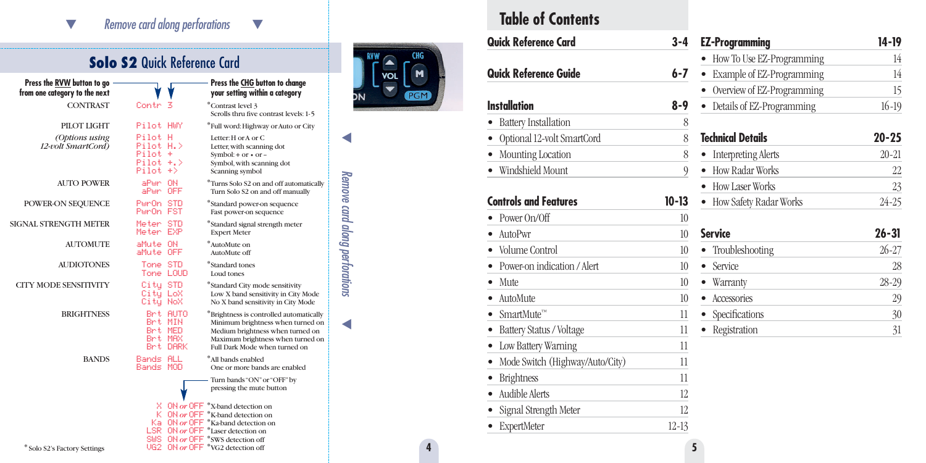#### $\bm{\nabla}$  *Remove card along perforations* - $\overline{\phantom{a}}$

# **Solo S2 Quick Reference Card**

| Press the RVW button to go<br>from one category to the next |                                                              |                                 | Press the CHG button to change<br>your setting within a category                                                                                                                                                        |
|-------------------------------------------------------------|--------------------------------------------------------------|---------------------------------|-------------------------------------------------------------------------------------------------------------------------------------------------------------------------------------------------------------------------|
| <b>CONTRAST</b>                                             | Contr                                                        |                                 | *Contrast level 3<br>Scrolls thru five contrast levels: 1-5                                                                                                                                                             |
| PILOT LIGHT                                                 | Pilot HWY                                                    |                                 | *Full word: Highway or Auto or City                                                                                                                                                                                     |
| (Options using<br>12-volt SmartCord)                        | Pilot H<br>Pilot H.><br>$Pilot +$<br>$Pilot + >$<br>Pilot +> |                                 | Letter: H or A or C.<br>Letter, with scanning dot<br>Symbol: + or $\cdot$ or -<br>Symbol, with scanning dot<br>Scanning symbol                                                                                          |
| AUTO POWER                                                  | aPwr ON<br>aPwr OFF                                          |                                 | <sup>*</sup> Turns Solo S2 on and off automatically<br>Turn Solo S2 on and off manually                                                                                                                                 |
| POWER-ON SEQUENCE                                           | PurOn STD<br>PumOn FST                                       |                                 | *Standard power-on sequence<br>Fast power-on sequence                                                                                                                                                                   |
| SIGNAL STRENGTH METER                                       | Meter STD<br>Meter EXP                                       |                                 | *Standard signal strength meter<br><b>Expert Meter</b>                                                                                                                                                                  |
| AUTOMUTE                                                    | aMute ON<br>aMute OFF                                        |                                 | *AutoMute on<br>AutoMute off                                                                                                                                                                                            |
| <b>AUDIOTONES</b>                                           | Tone STD<br>Tone LOUD                                        |                                 | *Standard tones<br>Loud tones                                                                                                                                                                                           |
| <b>CITY MODE SENSITIVITY</b>                                | City STD<br>Citu LoX<br>Citų NoX                             |                                 | *Standard City mode sensitivity<br>Low X band sensitivity in City Mode<br>No X band sensitivity in City Mode                                                                                                            |
| <b>BRIGHTNESS</b>                                           | Brt MED<br>Brt MAX                                           | Brt AUTO<br>Brt MIN<br>Brt DARK | *Brightness is controlled automatically<br>Minimum brightness when turned on<br>Medium brightness when turned on<br>Maximum brightness when turned on<br>Full Dark Mode when turned on                                  |
| <b>BANDS</b>                                                | Bands ALL<br>Bands MOD                                       |                                 | *All bands enabled<br>One or more bands are enabled                                                                                                                                                                     |
|                                                             |                                                              |                                 | Turn bands "ON" or "OFF" by<br>pressing the mute button                                                                                                                                                                 |
| * Solo S2's Factory Settings                                |                                                              |                                 | X ON or OFF *X-band detection on<br>K ON or OFF *K-band detection on<br>Ka ON or OFF *Ka-band detection on<br>LSR ON or OFF *Laser detection on<br>SUS ON or OFF *SWS detection off<br>UG2 ON or OFF *VG2 detection off |



 $\blacktriangleleft$ 

*Remove card along perforations* 

Remove card along perforations

 $\blacktriangleleft$ 

# **Table of Contents**

|   | Quick Reference Card              | 3-4              | <b>EZ-Programming</b>                  |
|---|-----------------------------------|------------------|----------------------------------------|
|   | Quick Reference Guide             | 6-7              | • How To Use EZ-F<br>• Example of EZ-F |
|   |                                   |                  | • Overview of EZ-F                     |
|   | <b>Installation</b>               | $8 - 9$          | • Details of EZ-Pro                    |
|   | <b>Battery Installation</b>       | 8                |                                        |
|   | • Optional 12-volt SmartCord      | 8                | <b>Technical Details</b>               |
|   | • Mounting Location               | 8                | • Interpreting Aler                    |
|   | · Windshield Mount                | 9                | • How Radar Worl                       |
|   |                                   |                  | • How Laser Works                      |
|   | <b>Controls and Features</b>      | $10 - 13$        | • How Safety Rada                      |
|   | • Power $On/Off$                  | 10 <sup>10</sup> |                                        |
|   | • AutoPwr                         | 10               | <b>Service</b>                         |
|   | • Volume Control                  | 10               | Troubleshooting                        |
|   | • Power-on indication / Alert     | 10               | • Service                              |
|   | $\bullet$ Mute                    | 10               | • Warranty                             |
|   | • AutoMute                        | 10 <sup>10</sup> | • Accessories                          |
|   | • SmartMute <sup>™</sup>          | 11               | • Specifications                       |
|   | • Battery Status / Voltage        | 11               | • Registration                         |
|   | • Low Battery Warning             | 11               |                                        |
|   | • Mode Switch (Highway/Auto/City) | 11               |                                        |
|   | • Brightness                      | 11               |                                        |
|   | • Audible Alerts                  | 12               |                                        |
|   | • Signal Strength Meter           | 12               |                                        |
|   | <b>ExpertMeter</b>                | $12 - 13$        |                                        |
| 4 |                                   | 5                |                                        |
|   |                                   |                  |                                        |

| EZ-Programming             | 14-19     |
|----------------------------|-----------|
| How To Use EZ-Programming  | 14        |
| Example of EZ-Programming  | 14        |
| Overview of EZ-Programming | 15        |
| Details of EZ-Programming  | $16-19$   |
| <b>Technical Details</b>   | $20 - 25$ |
| <b>Interpreting Alerts</b> | $20 - 21$ |
| How Radar Works            | 22        |
| How Laser Works            | 23        |
| How Safety Radar Works     | $24 - 25$ |
| Service                    | 26-31     |
| Troubleshooting            | $26 - 27$ |
| Service                    | 28        |
| Warranty                   | 28-29     |
| Accessories<br>$\bullet$   | 29        |
| Specifications             | 30        |
| Registration               | 31        |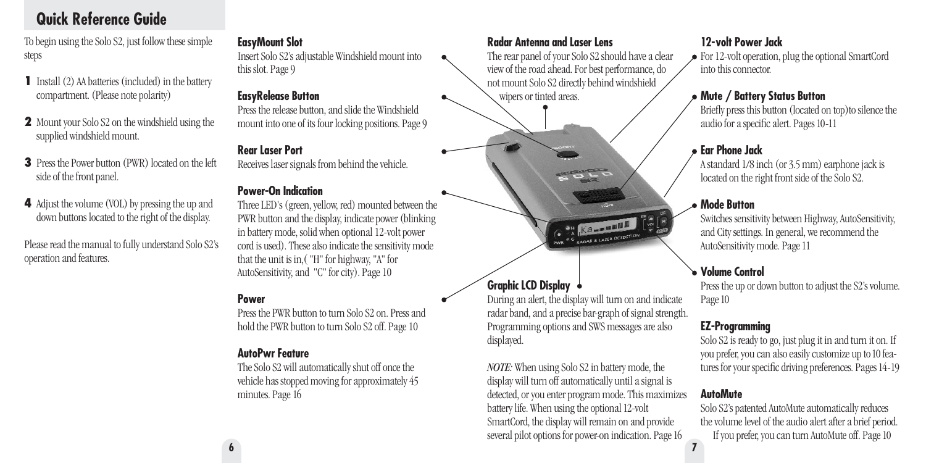# **Quick Reference Guide**

To begin using the Solo S2, just follow these simple steps

- **1** Install (2) AA batteries (included) in the battery compartment. (Please note polarity)
- **2** Mount your Solo S2 on the windshield using the supplied windshield mount.
- **3** Press the Power button (PWR) located on the left side of the front panel.
- **4** Adjust the volume (VOL) by pressing the up and down buttons located to the right of the display.

Please read the manual to fully understand Solo S2's operation and features.

#### **EasyMount Slot**

Insert Solo S2's adjustable Windshield mount into this slot. Page 9

#### **EasyRelease Button**

Press the release button, and slide the Windshield mount into one of its four locking positions. Page 9

#### **Rear Laser Port**

Receives laser signals from behind the vehicle.

#### **Power-On Indication**

Three LED's (green, yellow, red) mounted between the PWR button and the display, indicate power (blinking in battery mode, solid when optional 12-volt power cord is used). These also indicate the sensitivity mode that the unit is in,( "H" for highway, "A" for AutoSensitivity, and "C" for city). Page 10

#### **Power**

**6**

Press the PWR button to turn Solo S2 on. Press and hold the PWR button to turn Solo S2 off. Page 10

#### **AutoPwr Feature**

The Solo S2 will automatically shut off once the vehicle has stopped moving for approximately 45 minutes. Page 16

#### **Radar Antenna and Laser Lens**

The rear panel of your Solo S2 should have a clear view of the road ahead. For best performance, do not mount Solo S2 directly behind windshield wipers or tinted areas.

 $\frac{1}{2}$ 

# **SH Kammmun** PWR<sup>eC</sup>RADAR & LASER DETECTION

## **Graphic LCD Display**

During an alert, the display will turn on and indicate radar band, and a precise bar-graph of signal strength. Programming options and SWS messages are also displayed.

**7** *NOTE:* When using Solo S2 in battery mode, the display will turn off automatically until a signal is detected, or you enter program mode. This maximizes battery life. When using the optional 12-volt SmartCord, the display will remain on and provide several pilot options for power-on indication. Page 16

### **12-volt Power Jack**

For 12-volt operation, plug the optional SmartCord into this connector.

#### **Mute / Battery Status Button**

Briefly press this button (located on top)to silence the audio for a specific alert. Pages 10-11

#### **Ear Phone Jack**

A standard 1/8 inch (or 3.5 mm) earphone jack is located on the right front side of the Solo S2.

#### **Mode Button**

Switches sensitivity between Highway, AutoSensitivity, and City settings. In general, we recommend the AutoSensitivity mode. Page 11

## **Volume Control**

Press the up or down button to adjust the S2's volume. Page 10

### **EZ-Programming**

Solo S2 is ready to go, just plug it in and turn it on. If you prefer, you can also easily customize up to10 features for your specific driving preferences. Pages 14-19

#### **AutoMute**

Solo S2's patented AutoMute automatically reduces the volume level of the audio alert after a brief period. If you prefer, you can turn AutoMute off. Page 10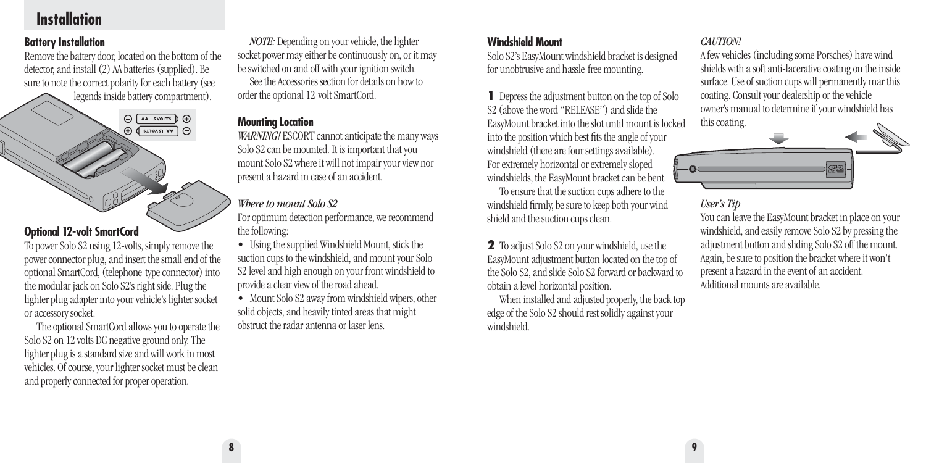# **Installation**

#### **Battery Installation**

Remove the battery door, located on the bottom of the detector, and install (2) AA batteries (supplied). Be sure to note the correct polarity for each battery (see legends inside battery compartment).



To power Solo S2 using 12-volts, simply remove the power connector plug, and insert the small end of the optional SmartCord, (telephone-type connector) into the modular jack on Solo S2's right side. Plug the lighter plug adapter into your vehicle's lighter socket or accessory socket.

The optional SmartCord allows you to operate the Solo S2 on 12 volts DC negative ground only. The lighter plug is a standard size and will work in most vehicles. Of course, your lighter socket must be clean and properly connected for proper operation.

*NOTE:* Depending on your vehicle, the lighter socket power may either be continuously on, or it may be switched on and off with your ignition switch. See the Accessories section for details on how to order the optional 12-volt SmartCord.

#### **Mounting Location**

*WARNING!* ESCORT cannot anticipate the many ways Solo S2 can be mounted. It is important that you mount Solo S2 where it will not impair your view nor present a hazard in case of an accident.

#### *Where to mount Solo S2*

For optimum detection performance, we recommend the following:

• Using the supplied Windshield Mount, stick the suction cups to the windshield, and mount your Solo S2 level and high enough on your front windshield to provide a clear view of the road ahead.

• Mount Solo S2 away from windshield wipers, other solid objects, and heavily tinted areas that might obstruct the radar antenna or laser lens.

#### **Windshield Mount**

Solo S2's EasyMount windshield bracket is designed for unobtrusive and hassle-free mounting.

**1** Depress the adjustment button on the top of Solo S2 (above the word "RELEASE") and slide the EasyMount bracket into the slot until mount is locked into the position which best fits the angle of your windshield (there are four settings available). For extremely horizontal or extremely sloped windshields, the EasyMount bracket can be bent.

To ensure that the suction cups adhere to the windshield firmly, be sure to keep both your windshield and the suction cups clean.

**2** To adjust Solo S2 on your windshield, use the EasyMount adjustment button located on the top of the Solo S2, and slide Solo S2 forward or backward to obtain a level horizontal position.

When installed and adjusted properly, the back top edge of the Solo S2 should rest solidly against your windshield.

#### *CAUTION!*

A few vehicles (including some Porsches) have windshields with a soft anti-lacerative coating on the inside surface. Use of suction cups will permanently mar this coating. Consult your dealership or the vehicle owner's manual to determine if your windshield has this coating.



#### *User's Tip*

You can leave the EasyMount bracket in place on your windshield, and easily remove Solo S2 by pressing the adjustment button and sliding Solo S2 off the mount. Again, be sure to position the bracket where it won't present a hazard in the event of an accident. Additional mounts are available.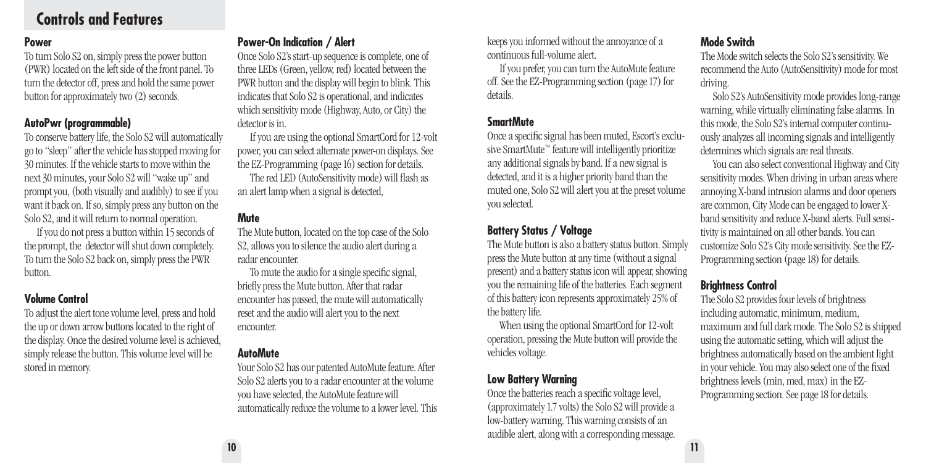## **Controls and Features**

#### **Power**

To turn Solo S2 on, simply press the power button (PWR) located on the left side of the front panel. To turn the detector off, press and hold the same power button for approximately two (2) seconds.

#### **AutoPwr (programmable)**

To conserve battery life, the Solo S2 will automatically go to "sleep" after the vehicle has stopped moving for 30 minutes. If the vehicle starts to move within the next 30 minutes, your Solo S2 will "wake up" and prompt you, (both visually and audibly) to see if you want it back on. If so, simply press any button on the Solo S2, and it will return to normal operation.

If you do not press a button within 15 seconds of the prompt, the detector will shut down completely. To turn the Solo S2 back on, simply press the PWR button.

#### **Volume Control**

To adjust the alert tone volume level, press and hold the up or down arrow buttons located to the right of the display. Once the desired volume level is achieved, simply release the button. This volume level will be stored in memory.

#### **Power-On Indication / Alert**

Once Solo S2's start-up sequence is complete, one of three LEDs (Green, yellow, red) located between the PWR button and the display will begin to blink. This indicates that Solo S2 is operational, and indicates which sensitivity mode (Highway, Auto, or City) the detector is in.

If you are using the optional SmartCord for 12-volt power, you can select alternate power-on displays. See the EZ-Programming (page 16) section for details.

The red LED (AutoSensitivity mode) will flash as an alert lamp when a signal is detected,

#### **Mute**

The Mute button, located on the top case of the Solo S2, allows you to silence the audio alert during a radar encounter.

To mute the audio for a single specific signal, briefly press the Mute button. After that radar encounter has passed, the mute will automatically reset and the audio will alert you to the next encounter.

#### **AutoMute**

Your Solo S2 has our patented AutoMute feature. After Solo S2 alerts you to a radar encounter at the volume you have selected, the AutoMute feature will automatically reduce the volume to a lower level. This keeps you informed without the annoyance of a continuous full-volume alert.

If you prefer, you can turn the AutoMute feature off. See the EZ-Programming section (page 17) for details.

#### **SmartMute**

Once a specific signal has been muted, Escort's exclusive SmartMute™ feature will intelligently prioritize any additional signals by band. If a new signal is detected, and it is a higher priority band than the muted one, Solo S2 will alert you at the preset volume you selected.

#### **Battery Status / Voltage**

The Mute button is also a battery status button. Simply press the Mute button at any time (without a signal present) and a battery status icon will appear, showing you the remaining life of the batteries. Each segment of this battery icon represents approximately 25% of the battery life.

When using the optional SmartCord for 12-volt operation, pressing the Mute button will provide the vehicles voltage.

#### **Low Battery Warning**

Once the batteries reach a specific voltage level, (approximately 1.7 volts) the Solo S2 will provide a low-battery warning. This warning consists of an audible alert, along with a corresponding message.

#### **Mode Switch**

The Mode switch selects the Solo S2's sensitivity. We recommend the Auto (AutoSensitivity) mode for most driving.

Solo S2's AutoSensitivity mode provides long-range warning, while virtually eliminating false alarms. In this mode, the Solo S2's internal computer continuously analyzes all incoming signals and intelligently determines which signals are real threats.

You can also select conventional Highway and City sensitivity modes. When driving in urban areas where annoying X-band intrusion alarms and door openers are common, City Mode can be engaged to lower Xband sensitivity and reduce X-band alerts. Full sensitivity is maintained on all other bands. You can customize Solo S2's City mode sensitivity. See the EZ-Programming section (page 18) for details.

#### **Brightness Control**

The Solo S2 provides four levels of brightness including automatic, minimum, medium, maximum and full dark mode. The Solo S2 is shipped using the automatic setting, which will adjust the brightness automatically based on the ambient light in your vehicle. You may also select one of the fixed brightness levels (min, med, max) in the EZ-Programming section. See page 18 for details.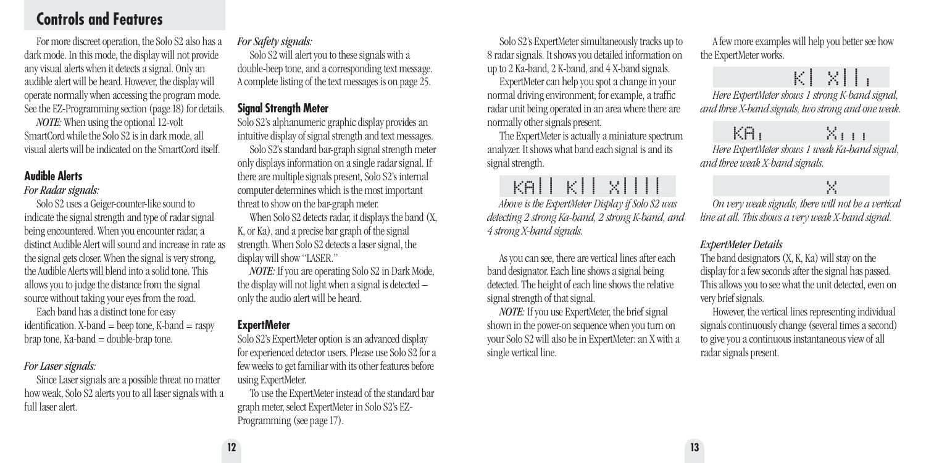# **Controls and Features**

For more discreet operation, the Solo S2 also has a dark mode. In this mode, the display will not provide any visual alerts when it detects a signal. Only an audible alert will be heard. However, the display will operate normally when accessing the program mode. See the EZ-Programming section (page 18) for details.

*NOTE:* When using the optional 12-volt SmartCord while the Solo S2 is in dark mode, all visual alerts will be indicated on the SmartCord itself.

#### **Audible Alerts**

#### *For Radar signals:*

Solo S2 uses a Geiger-counter-like sound to indicate the signal strength and type of radar signal being encountered. When you encounter radar, a distinct Audible Alert will sound and increase in rate as the signal gets closer. When the signal is very strong, the Audible Alerts will blend into a solid tone. This allows you to judge the distance from the signal source without taking your eyes from the road.

Each band has a distinct tone for easy identification.  $X$ -band  $=$  beep tone,  $K$ -band  $=$  raspy  $bra$  tone, Ka-band = double-brap tone.

#### *For Laser signals:*

Since Laser signals are a possible threat no matter how weak, Solo S2 alerts you to all laser signals with a full laser alert.

#### *For Safety signals:*

Solo S2 will alert you to these signals with a double-beep tone, and a corresponding text message. A complete listing of the text messages is on page 25.

#### **Signal Strength Meter**

Solo S2's alphanumeric graphic display provides an intuitive display of signal strength and text messages.

Solo S2's standard bar-graph signal strength meter only displays information on a single radar signal. If there are multiple signals present, Solo S2's internal computer determines which is the most important threat to show on the bar-graph meter.

When Solo S2 detects radar, it displays the band (X, K, or Ka), and a precise bar graph of the signal strength. When Solo S2 detects a laser signal, the display will show "LASER."

*NOTE:* If you are operating Solo S2 in Dark Mode, the display will not light when a signal is detected – only the audio alert will be heard.

#### **ExpertMeter**

Solo S2's ExpertMeter option is an advanced display for experienced detector users. Please use Solo S2 for a few weeks to get familiar with its other features before using ExpertMeter.

To use the ExpertMeter instead of the standard bar graph meter, select ExpertMeter in Solo S2's EZ-Programming (see page 17).

Solo S2's ExpertMeter simultaneously tracks up to 8 radar signals. It shows you detailed information on up to 2 Ka-band, 2 K-band, and 4 X-band signals.

ExpertMeter can help you spot a change in your normal driving environment; for example, a traffic radar unit being operated in an area where there are normally other signals present.

The ExpertMeter is actually a miniature spectrum analyzer. It shows what band each signal is and its signal strength.

# KA|| K|| X||||

*Above is the ExpertMeter Display if Solo S2 was detecting 2 strong Ka-band, 2 strong K-band, and 4 strong X-band signals.*

As you can see, there are vertical lines after each band designator. Each line shows a signal being detected. The height of each line shows the relative signal strength of that signal.

*NOTE:* If you use ExpertMeter, the brief signal shown in the power-on sequence when you turn on your Solo S2 will also be in ExpertMeter: an X with a single vertical line.

A few more examples will help you better see how the ExpertMeter works.

# K| X|||

*Here ExpertMeter shows 1 strong K-band signal, and three X-band signals, two strong and one weak.*

# $K\Theta$   $\longrightarrow$   $K_{1,1,1}$

*Here ExpertMeter shows 1 weak Ka-band signal, and three weak X-band signals.*

## X

*On very weak signals, there will not be a vertical line at all. This shows a very weak X-band signal.*

#### *ExpertMeter Details*

The band designators (X, K, Ka) will stay on the display for a few seconds after the signal has passed. This allows you to see what the unit detected, even on very brief signals.

However, the vertical lines representing individual signals continuously change (several times a second) to give you a continuous instantaneous view of all radar signals present.

**12 13**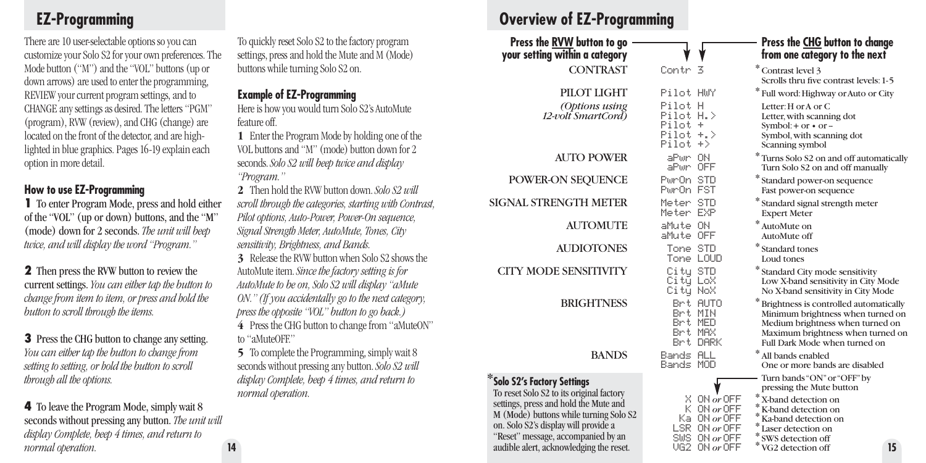# **EZ-Programming**

There are 10 user-selectable options so you can customize your Solo S2 for your own preferences. The Mode button ("M") and the "VOL" buttons (up or down arrows) are used to enter the programming, REVIEW your current program settings, and to CHANGE any settings as desired. The letters "PGM" (program), RVW (review), and CHG (change) are located on the front of the detector, and are highlighted in blue graphics. Pages 16-19 explain each option in more detail.

#### **How to use EZ-Programming**

**1** To enter Program Mode, press and hold either of the "VOL" (up or down) buttons, and the "M" (mode) down for 2 seconds. *The unit will beep twice, and will display the word "Program."*

**2** Then press the RVW button to review the current settings. *You can either tap the button to change from item to item, or press and hold the button to scroll through the items.*

**3** Press the CHG button to change any setting. *You can either tap the button to change from setting to setting, or hold the button to scroll through all the options.*

**4** To leave the Program Mode, simply wait 8 seconds without pressing any button. *The unit will display Complete, beep 4 times, and return to normal operation.* **14**

To quickly reset Solo S2 to the factory program settings, press and hold the Mute and M (Mode) buttons while turning Solo S2 on.

#### **Example of EZ-Programming**

Here is how you would turn Solo S2's AutoMute feature off.

**1** Enter the Program Mode by holding one of the VOL buttons and "M" (mode) button down for 2 seconds. *Solo S2 will beep twice and display "Program."*

**2** Then hold the RVW button down. *Solo S2 will scroll through the categories, starting with Contrast, Pilot options, Auto-Power, Power-On sequence, Signal Strength Meter, AutoMute, Tones, City sensitivity, Brightness, and Bands.*

**3** Release the RVW button when Solo S2 shows the AutoMute item. *Since the factory setting is for AutoMute to be on, Solo S2 will display "aMute ON." (If you accidentally go to the next category, press the opposite "VOL" button to go back.)* **4** Press the CHG button to change from "aMuteON" to "aMuteOFF"

**5** To complete the Programming, simply wait 8 seconds without pressing any button. *Solo S2 will display Complete, beep 4 times, and return to normal operation.*

# **Overview of EZ-Programming**

CONTRAST Contr 3

PILOT LIGHT Pilot HWY

*(Options using* Pilot H<br>*Polt SmartCord*) Pilot H.> 12-volt SmartCord)

AUTO POWER aPwr ON

POWER-ON SEQUENCE Pwr0n STD

SIGNAL STRENGTH METER Meter STD

AUTOMUTE aMute ON

AUDIOTONES Tone STD

CITY MODE SENSITIVITY City STD

\***Solo S2's Factory Settings** To reset Solo S2 to its original factory settings, press and hold the Mute and M (Mode) buttons while turning Solo S2 on. Solo S2's display will provide a "Reset" message, accompanied by an audible alert, acknowledging the reset.

Tone LOUD City LoX City NoX BRIGHTNESS Brt AUTO Brt MIN Brt MED Brt MAX Maximum brightness when turned on Brt DARK BANDS Bands ALL

 $PiInt.+$ Pilot  $+$ .  $Pilot + \rangle$ 

aPwr OFF

PwrOn FST

Meter EXP

aMute OFF

Bands MOD

#### Press the <u>RVW</u> button to go <u>Allemann CHG</u> button to change<br>Your setting within a category **the set of the category of the next** from one category to the next

| ntr 3                                        |                                                                                                             | Contrast level 3<br>Scrolls thru five contrast levels: 1-5                                                                                                                                                           |
|----------------------------------------------|-------------------------------------------------------------------------------------------------------------|----------------------------------------------------------------------------------------------------------------------------------------------------------------------------------------------------------------------|
| lot HWY                                      |                                                                                                             | * Full word: Highway or Auto or City                                                                                                                                                                                 |
| lot                                          | н                                                                                                           | Letter: H or A or C                                                                                                                                                                                                  |
| lot                                          | H. >                                                                                                        | Letter, with scanning dot                                                                                                                                                                                            |
| lot                                          | ÷                                                                                                           | Symbol: $+$ or $\cdot$ or $-$                                                                                                                                                                                        |
| .lot                                         | $+$ . >                                                                                                     | Symbol, with scanning dot                                                                                                                                                                                            |
| .lot                                         | $^{+>}$                                                                                                     | Scanning symbol                                                                                                                                                                                                      |
| iPum                                         | ΟN                                                                                                          | * Turns Solo S2 on and off automatically                                                                                                                                                                             |
| iPum                                         | OFF                                                                                                         | Turn Solo S2 on and off manually                                                                                                                                                                                     |
| ır:On I                                      | <b>STD</b>                                                                                                  | * Standard power-on sequence                                                                                                                                                                                         |
| ırOn I                                       | <b>FST</b>                                                                                                  | Fast power-on sequence                                                                                                                                                                                               |
| ter.                                         | STD                                                                                                         | * Standard signal strength meter                                                                                                                                                                                     |
| ter                                          | EXP                                                                                                         | <b>Expert Meter</b>                                                                                                                                                                                                  |
| lute                                         | ΟN                                                                                                          | * AutoMute on                                                                                                                                                                                                        |
| lute                                         | OFF                                                                                                         | AutoMute off                                                                                                                                                                                                         |
| ione i                                       | STD                                                                                                         | * Standard tones                                                                                                                                                                                                     |
| ione:                                        | LOUD                                                                                                        | Loud tones                                                                                                                                                                                                           |
| ∷itu i                                       | STD                                                                                                         | * Standard City mode sensitivity                                                                                                                                                                                     |
| ∷itu i                                       | LoX                                                                                                         | Low X-band sensitivity in City Mode                                                                                                                                                                                  |
| ∷itų.                                        | NoX                                                                                                         | No X-band sensitivity in City Mode                                                                                                                                                                                   |
| Brt<br>Brt MIN<br>Brt MED<br>Brt MAX<br>Brt. | <b>AUTO</b><br><b>DARK</b>                                                                                  | ∗<br>Brightness is controlled automatically<br>Minimum brightness when turned on<br>Medium brightness when turned on<br>Maximum brightness when turned on<br>Full Dark Mode when turned on                           |
| inds i                                       | <b>ALL</b>                                                                                                  | * All bands enabled                                                                                                                                                                                                  |
| inds i                                       | MOD                                                                                                         | One or more bands are disabled                                                                                                                                                                                       |
| x.                                           | ON or OFF<br>$K$ ON $or$ OFF<br>Ka ON $or$ OFF<br>$LSR$ ON $or$ OFF<br>SWS $ON$ or OFF<br>$UG2$ ON $or$ OFF | Turn bands "ON" or "OFF" by<br>pressing the Mute button<br>* X-band detection on<br>K-band detection on<br>*<br>Ka-band detection on<br>*<br>Laser detection on<br>*<br>SWS detection off<br>15<br>VG2 detection off |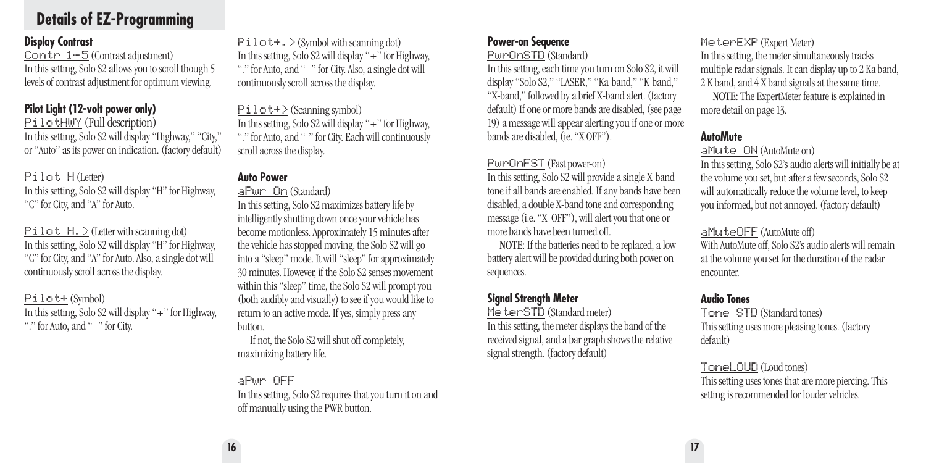# **Details of EZ-Programming**

#### **Display Contrast**

Contr  $1-5$  (Contrast adjustment) In this setting, Solo S2 allows you to scroll though 5 levels of contrast adjustment for optimum viewing.

#### **Pilot Light (12-volt power only)**

PilotHWY (Full description) In this setting, Solo S2 will display "Highway," "City," or "Auto" as its power-on indication. (factory default)

#### Pilot H(Letter)

In this setting, Solo S2 will display "H" for Highway, "C" for City, and "A" for Auto.

 $P$ **i**  $1 \circ t$   $H$ .  $\geq$  (Letter with scanning dot) In this setting, Solo S2 will display "H" for Highway, "C" for City, and "A" for Auto. Also, a single dot will continuously scroll across the display.

#### Pilot+(Symbol)

In this setting, Solo S2 will display "+" for Highway, "." for Auto, and "-" for City.

 $PiIot+$ .  $\geq$  (Symbol with scanning dot) In this setting, Solo S2 will display "+" for Highway, "." for Auto, and "–" for City. Also, a single dot will continuously scroll across the display.

Pilot+>(Scanning symbol) In this setting, Solo S2 will display "+" for Highway, "." for Auto, and "-" for City. Each will continuously scroll across the display.

#### **Auto Power**

aPwr On(Standard)

In this setting, Solo S2 maximizes battery life by intelligently shutting down once your vehicle has become motionless. Approximately 15 minutes after the vehicle has stopped moving, the Solo S2 will go into a "sleep" mode. It will "sleep" for approximately 30 minutes. However, if the Solo S2 senses movement within this "sleep" time, the Solo S2 will prompt you (both audibly and visually) to see if you would like to return to an active mode. If yes, simply press any button.

If not, the Solo S2 will shut off completely, maximizing battery life.

### aPwr OFF

In this setting, Solo S2 requires that you turn it on and off manually using the PWR button.

## **Power-on Sequence**

#### PwrOnSTD(Standard)

In this setting, each time you turn on Solo S2, it will display "Solo S2," "LASER," "Ka-band," "K-band," "X-band," followed by a brief X-band alert. (factory default) If one or more bands are disabled, (see page 19) a message will appear alerting you if one or more bands are disabled, (ie. "X OFF").

#### PwrOnFST(Fast power-on)

In this setting, Solo S2 will provide a single X-band tone if all bands are enabled. If any bands have been disabled, a double X-band tone and corresponding message (i.e. "X OFF"), will alert you that one or more bands have been turned off.

NOTE: If the batteries need to be replaced, a lowbattery alert will be provided during both power-on sequences.

## **Signal Strength Meter**

MeterSTD(Standard meter) In this setting, the meter displays the band of the received signal, and a bar graph shows the relative signal strength. (factory default)

### MeterEXP (Expert Meter)

In this setting, the meter simultaneously tracks multiple radar signals. It can display up to 2 Ka band, 2 K band, and 4 X band signals at the same time.

NOTE: The ExpertMeter feature is explained in more detail on page 13.

#### **AutoMute**

#### aMute ON(AutoMute on)

In this setting, Solo S2's audio alerts will initially be at the volume you set, but after a few seconds, Solo S2 will automatically reduce the volume level, to keep you informed, but not annoyed. (factory default)

#### aMuteOFF(AutoMute off)

With AutoMute off, Solo S2's audio alerts will remain at the volume you set for the duration of the radar encounter.

#### **Audio Tones**

Tone STD(Standard tones) This setting uses more pleasing tones. (factory default)

#### ToneLOUD(Loud tones)

This setting uses tones that are more piercing. This setting is recommended for louder vehicles.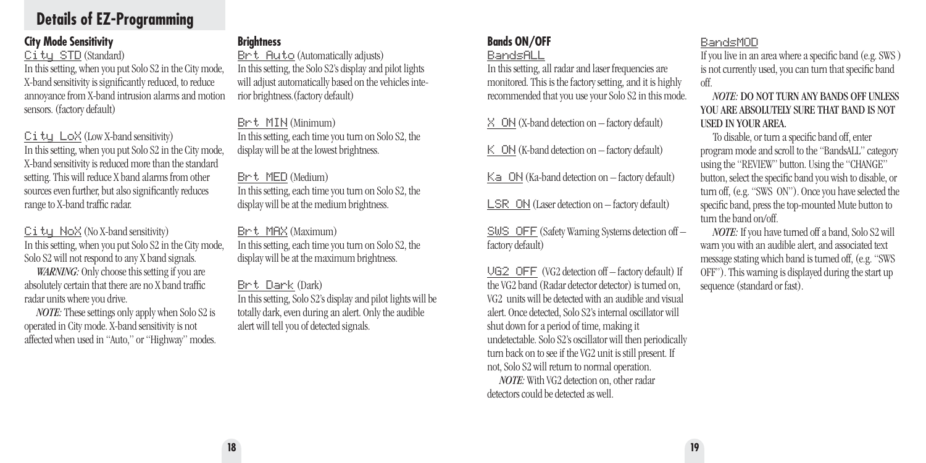# **Details of EZ-Programming**

#### **City Mode Sensitivity**

#### City STD (Standard)

In this setting, when you put Solo S2 in the City mode, X-band sensitivity is significantly reduced, to reduce annoyance from X-band intrusion alarms and motion sensors. (factory default)

City LoX(Low X-band sensitivity) In this setting, when you put Solo S2 in the City mode, X-band sensitivity is reduced more than the standard setting. This will reduce X band alarms from other sources even further, but also significantly reduces range to X-band traffic radar.

City NoX(No X-band sensitivity) In this setting, when you put Solo S2 in the City mode, Solo S2 will not respond to any X band signals.

*WARNING:* Only choose this setting if you are absolutely certain that there are no X band traffic radar units where you drive.

*NOTE:* These settings only apply when Solo S2 is operated in City mode. X-band sensitivity is not affected when used in "Auto," or "Highway" modes.

#### **Brightness**

Brt Auto(Automatically adjusts) In this setting, the Solo S2's display and pilot lights will adjust automatically based on the vehicles interior brightness.(factory default)

Brt MIN(Minimum) In this setting, each time you turn on Solo S2, the display will be at the lowest brightness.

#### Brt MED(Medium)

In this setting, each time you turn on Solo S2, the display will be at the medium brightness.

Brt MAX(Maximum) In this setting, each time you turn on Solo S2, the display will be at the maximum brightness.

#### Brt Dark(Dark)

In this setting, Solo S2's display and pilot lights will be totally dark, even during an alert. Only the audible alert will tell you of detected signals.

#### **Bands ON/OFF** BandsALL

In this setting, all radar and laser frequencies are monitored. This is the factory setting, and it is highly recommended that you use your Solo S2 in this mode.

X ON(X-band detection on – factory default)

 $K$  ON (K-band detection on – factory default)

Ka ON(Ka-band detection on – factory default)

LSR ON (Laser detection on – factory default)

SWS OFF(Safety Warning Systems detection off – factory default)

VG2 OFF (VG2 detection off – factory default) If the VG2 band (Radar detector detector) is turned on, VG2 units will be detected with an audible and visual alert. Once detected, Solo S2's internal oscillator will shut down for a period of time, making it undetectable. Solo S2's oscillator will then periodically turn back on to see if the VG2 unit is still present. If not, Solo S2 will return to normal operation.

*NOTE:* With VG2 detection on, other radar detectors could be detected as well.

#### BandsMOD

If you live in an area where a specific band (e.g. SWS ) is not currently used, you can turn that specific band off.

#### *NOTE:* DO NOT TURN ANY BANDS OFF UNLESS YOU ARE ABSOLUTELY SURE THAT BAND IS NOT USED IN YOUR AREA.

To disable, or turn a specific band off, enter program mode and scroll to the "BandsALL" category using the "REVIEW" button. Using the "CHANGE" button, select the specific band you wish to disable, or turn off, (e.g. "SWS ON"). Once you have selected the specific band, press the top-mounted Mute button to turn the band on/off.

*NOTE:* If you have turned off a band, Solo S2 will warn you with an audible alert, and associated text message stating which band is turned off, (e.g. "SWS OFF"). This warning is displayed during the start up sequence (standard or fast).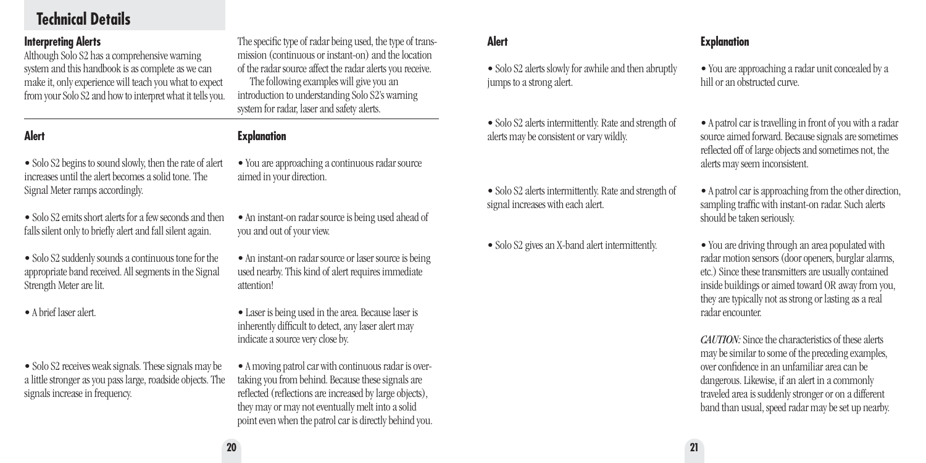# **Technical Details**

#### **Interpreting Alerts**

Although Solo S2 has a comprehensive warning system and this handbook is as complete as we can make it, only experience will teach you what to expect from your Solo S2 and how to interpret what it tells you.

#### **Alert**

• Solo S2 begins to sound slowly, then the rate of alert increases until the alert becomes a solid tone. The Signal Meter ramps accordingly.

• Solo S2 emits short alerts for a few seconds and then falls silent only to briefly alert and fall silent again.

• Solo S2 suddenly sounds a continuous tone for the appropriate band received. All segments in the Signal Strength Meter are lit.

• A brief laser alert.

• Solo S2 receives weak signals. These signals may be a little stronger as you pass large, roadside objects. The signals increase in frequency.

The specific type of radar being used, the type of transmission (continuous or instant-on) and the location of the radar source affect the radar alerts you receive. The following examples will give you an introduction to understanding Solo S2's warning system for radar, laser and safety alerts.

#### **Explanation**

- You are approaching a continuous radar source aimed in your direction.
- An instant-on radar source is being used ahead of you and out of your view.
- An instant-on radar source or laser source is being used nearby. This kind of alert requires immediate attention!
- Laser is being used in the area. Because laser is inherently difficult to detect, any laser alert may indicate a source very close by.

• A moving patrol car with continuous radar is overtaking you from behind. Because these signals are reflected (reflections are increased by large objects), they may or may not eventually melt into a solid point even when the patrol car is directly behind you.

#### **Alert**

- Solo S2 alerts slowly for awhile and then abruptly jumps to a strong alert.
- Solo S2 alerts intermittently. Rate and strength of alerts may be consistent or vary wildly.
- Solo S2 alerts intermittently. Rate and strength of signal increases with each alert.
- Solo S2 gives an X-band alert intermittently.

#### **Explanation**

• You are approaching a radar unit concealed by a hill or an obstructed curve.

- A patrol car is travelling in front of you with a radar source aimed forward. Because signals are sometimes reflected off of large objects and sometimes not, the alerts may seem inconsistent.
- A patrol car is approaching from the other direction, sampling traffic with instant-on radar. Such alerts should be taken seriously.
- You are driving through an area populated with radar motion sensors (door openers, burglar alarms, etc.) Since these transmitters are usually contained inside buildings or aimed toward OR away from you, they are typically not as strong or lasting as a real radar encounter.

*CAUTION:*Since the characteristics of these alerts may be similar to some of the preceding examples, over confidence in an unfamiliar area can be dangerous. Likewise, if an alert in a commonly traveled area is suddenly stronger or on a different band than usual, speed radar may be set up nearby.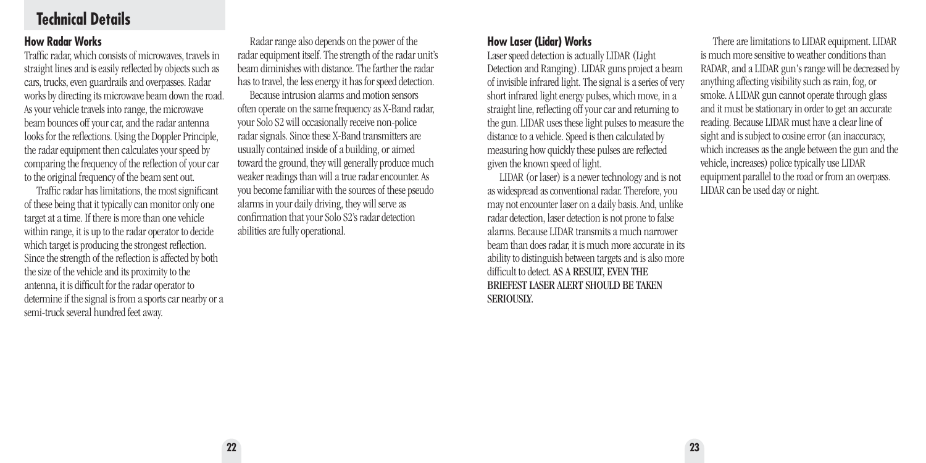# **Technical Details**

#### **How Radar Works**

Traffic radar, which consists of microwaves, travels in straight lines and is easily reflected by objects such as cars, trucks, even guardrails and overpasses. Radar works by directing its microwave beam down the road. As your vehicle travels into range, the microwave beam bounces off your car, and the radar antenna looks for the reflections. Using the Doppler Principle, the radar equipment then calculates your speed by comparing the frequency of the reflection of your car to the original frequency of the beam sent out.

Traffic radar has limitations, the most significant of these being that it typically can monitor only one target at a time. If there is more than one vehicle within range, it is up to the radar operator to decide which target is producing the strongest reflection. Since the strength of the reflection is affected by both the size of the vehicle and its proximity to the antenna, it is difficult for the radar operator to determine if the signal is from a sports car nearby or a semi-truck several hundred feet away.

Radar range also depends on the power of the radar equipment itself. The strength of the radar unit's beam diminishes with distance. The farther the radar has to travel, the less energy it has for speed detection. Because intrusion alarms and motion sensors often operate on the same frequency as X-Band radar, your Solo S2 will occasionally receive non-police radar signals. Since these X-Band transmitters are usually contained inside of a building, or aimed toward the ground, they will generally produce much

weaker readings than will a true radar encounter. As you become familiar with the sources of these pseudo alarms in your daily driving, they will serve as confirmation that your Solo S2's radar detection abilities are fully operational.

#### **How Laser (Lidar) Works**

**22 23**

Laser speed detection is actually LIDAR (Light Detection and Ranging). LIDAR guns project a beam of invisible infrared light. The signal is a series of very short infrared light energy pulses, which move, in a straight line, reflecting off your car and returning to the gun. LIDAR uses these light pulses to measure the distance to a vehicle. Speed is then calculated by measuring how quickly these pulses are reflected given the known speed of light.

LIDAR (or laser) is a newer technology and is not as widespread as conventional radar. Therefore, you may not encounter laser on a daily basis. And, unlike radar detection, laser detection is not prone to false alarms. Because LIDAR transmits a much narrower beam than does radar, it is much more accurate in its ability to distinguish between targets and is also more difficult to detect. AS A RESULT, EVEN THE BRIEFEST LASER ALERT SHOULD BE TAKEN **SERIOUSLY** 

There are limitations to LIDAR equipment. LIDAR is much more sensitive to weather conditions than RADAR, and a LIDAR gun's range will be decreased by anything affecting visibility such as rain, fog, or smoke. A LIDAR gun cannot operate through glass and it must be stationary in order to get an accurate reading. Because LIDAR must have a clear line of sight and is subject to cosine error (an inaccuracy, which increases as the angle between the gun and the vehicle, increases) police typically use LIDAR equipment parallel to the road or from an overpass. LIDAR can be used day or night.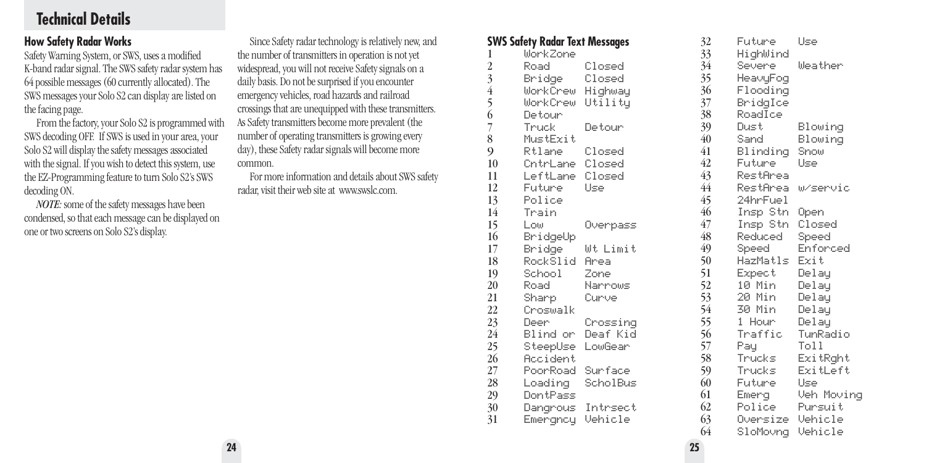# **Technical Details**

#### **How Safety Radar Works**

Safety Warning System, or SWS, uses a modified K-band radar signal. The SWS safety radar system has 64 possible messages (60 currently allocated). The SWS messages your Solo S2 can display are listed on the facing page.

From the factory, your Solo S2 is programmed with SWS decoding OFF. If SWS is used in your area, your Solo S2 will display the safety messages associated with the signal. If you wish to detect this system, use the EZ-Programming feature to turn Solo S2's SWS decoding ON.

*NOTE:* some of the safety messages have been condensed, so that each message can be displayed on one or two screens on Solo S2's display.

Since Safety radar technology is relatively new, and the number of transmitters in operation is not yet widespread, you will not receive Safety signals on a daily basis. Do not be surprised if you encounter emergency vehicles, road hazards and railroad crossings that are unequipped with these transmitters. As Safety transmitters become more prevalent (the number of operating transmitters is growing every day), these Safety radar signals will become more common.

For more information and details about SWS safety radar, visit their web site at www.swslc.com.

|                | SWS Safety Radar Text Messages |          | 32              | Future           | Use        |
|----------------|--------------------------------|----------|-----------------|------------------|------------|
| 1              | WorkZone                       |          | 33 <sup>°</sup> | HighWind         |            |
| $\overline{2}$ | Road                           | Closed   | 34              | Severe           | Weather    |
| 3              | Bridge Closed                  |          | 35 <sup>5</sup> | HeavyFog         |            |
| $\overline{4}$ | WorkCrew Highway               |          | 36              | Flooding         |            |
| 5              | WorkCrew Utility               |          | 37              | BridgIce         |            |
| $\overline{6}$ | Detour                         |          | 38              | RoadIce          |            |
| 7              | Truck                          | Detour   | 39              | Dust             | Blowing    |
| 8              | MustExit                       |          | 40              | Sand             | Blowing    |
| 9              | Rtlane                         | Closed   | 41              | Blinding         | Snow       |
| 10             | CntrLane Closed                |          | 42              | Future:          | Use        |
| 11             | LeftLane Closed                |          | 43              | RestArea         |            |
| 12             | Future                         | Use      | 44              | RestArea         | w/servic   |
| 13             | Police                         |          | 45 <sup>°</sup> | 24hrFuel         |            |
| 14             | Train                          |          | 46              | Insp Stn         | Open       |
| 15             | Low                            | Overpass | $47\,$          | Insp Stn         | Closed     |
| 16             | BridgeUp                       |          | 48              | Reduced          | Speed      |
| 17             | Bridge                         | Wt Limit | 49              | Speed            | Enforced   |
| 18             | RockSlid Area                  |          | 50              | HazMatls         | Exit       |
| 19             | School Zone                    |          | 51              | Expect           | Delay      |
| 20             | Road                           | Narrows  | 52              | 10 Min           | Delay      |
| 21             | Sharp                          | – Curve  | 53              | 20 Min           | Delay      |
| 22             | Croswalk                       |          | 54              | 30 Min           | Delay      |
| 23             | Deer                           | Crossing | 55              | 1 Hour           | Delay      |
| 24             | Blind or Deaf Kid              |          | 56              | Traffic          | TunRadio   |
| 25             | SteepUse LowGear               |          | 57              | Pay              | Toll       |
| 26             | Accident                       |          | 58              | Trucks           | ExitRght   |
| 27             | PoorRoad Surface               |          | 59              | Trucks           | ExitLeft   |
| 28             | Loading ScholBus               |          | 60              | Future -         | Use        |
| 29             | DontPass                       |          | 61              | Emerg            | Veh Moving |
| 30             | Dangrous Intrsect              |          | 62              | Police           | Pursuit    |
| 31             | Emergncy Vehicle               |          | 63              | Oversize Vehicle |            |
|                |                                |          | 64              | SloMovng Vehicle |            |
|                |                                |          |                 |                  |            |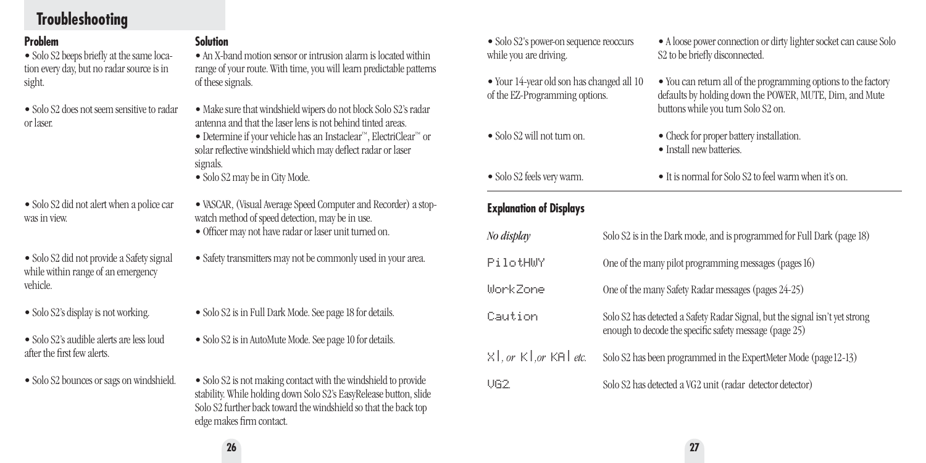# **Troubleshooting**

#### **Problem**

• Solo S2 beeps briefly at the same location every day, but no radar source is in sight.

• Solo S2 does not seem sensitive to radar or laser.

• Solo S2 did not alert when a police car was in view.

• Solo S2 did not provide a Safety signal while within range of an emergency vehicle.

- Solo S2's display is not working.
- Solo S2's audible alerts are less loud after the first few alerts.
- Solo S2 bounces or sags on windshield.

**Solution**

• An X-band motion sensor or intrusion alarm is located within range of your route. With time, you will learn predictable patterns of these signals.

- Make sure that windshield wipers do not block Solo S2's radar antenna and that the laser lens is not behind tinted areas.
- Determine if your vehicle has an Instaclear™, ElectriClear™ or solar reflective windshield which may deflect radar or laser signals.
- Solo S2 may be in City Mode.
- VASCAR, (Visual Average Speed Computer and Recorder) a stopwatch method of speed detection, may be in use.
	- Officer may not have radar or laser unit turned on.
- Safety transmitters may not be commonly used in your area.
- Solo S2 is in Full Dark Mode. See page 18 for details.
- Solo S2 is in AutoMute Mode. See page 10 for details.
- Solo S2 is not making contact with the windshield to provide stability. While holding down Solo S2's EasyRelease button, slide Solo S2 further back toward the windshield so that the back top edge makes firm contact.
- Solo S2's power-on sequence reoccurs while you are driving.
- Your 14-year old son has changed all 10 of the EZ-Programming options.
- Solo S2 will not turn on.
- Solo S2 feels very warm.
- A loose power connection or dirty lighter socket can cause Solo S2 to be briefly disconnected.
- You can return all of the programming options to the factory defaults by holding down the POWER, MUTE, Dim, and Mute buttons while you turn Solo S2 on.
- Check for proper battery installation.
- Install new batteries.
- It is normal for Solo S2 to feel warm when it's on.

### **Explanation of Displays**

| No display                 | Solo S2 is in the Dark mode, and is programmed for Full Dark (page 18)                                                                |
|----------------------------|---------------------------------------------------------------------------------------------------------------------------------------|
| PilotHWY                   | One of the many pilot programming messages (pages 16)                                                                                 |
| WorkZone                   | One of the many Safety Radar messages (pages 24-25)                                                                                   |
| Caution                    | Solo S2 has detected a Safety Radar Signal, but the signal isn't yet strong<br>enough to decode the specific safety message (page 25) |
| X   , or K   ,or KA   etc. | Solo S2 has been programmed in the ExpertMeter Mode (page 12-13)                                                                      |
| UG2.                       | Solo S2 has detected a VG2 unit (radar detector detector)                                                                             |

**26 27**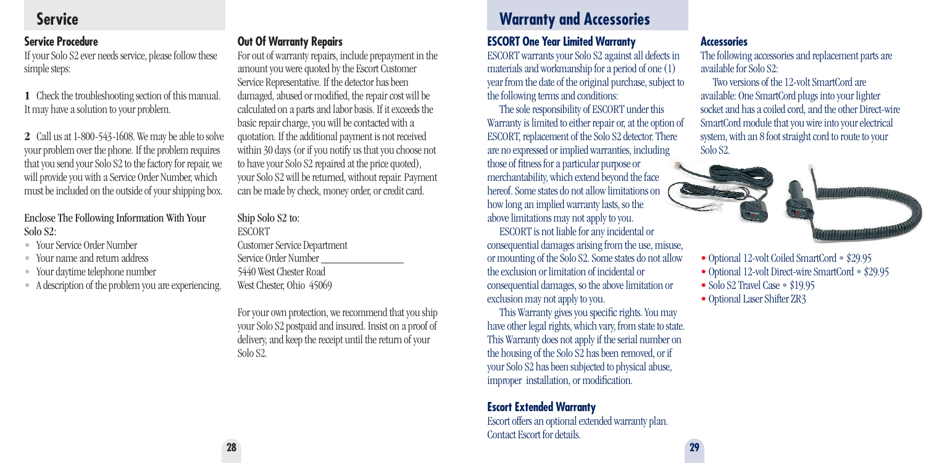#### **Service Procedure**

If your Solo S2 ever needs service, please follow these simple steps:

**1** Check the troubleshooting section of this manual. It may have a solution to your problem.

**2** Call us at 1-800-543-1608. We may be able to solve your problem over the phone. If the problem requires that you send your Solo S2 to the factory for repair, we will provide you with a Service Order Number, which must be included on the outside of your shipping box.

#### Enclose The Following Information With Your Solo S2:

- Your Service Order Number
- Your name and return address
- Your daytime telephone number
- A description of the problem you are experiencing.

#### **Out Of Warranty Repairs**

For out of warranty repairs, include prepayment in the amount you were quoted by the Escort Customer Service Representative. If the detector has been damaged, abused or modified, the repair cost will be calculated on a parts and labor basis. If it exceeds the basic repair charge, you will be contacted with a quotation. If the additional payment is not received within 30 days (or if you notify us that you choose not to have your Solo S2 repaired at the price quoted), your Solo S2 will be returned, without repair. Payment can be made by check, money order, or credit card.

### Ship Solo S2 to:

**ESCORT** Customer Service Department Service Order Number \_\_\_\_\_\_\_\_\_\_\_\_\_\_ 5440 West Chester Road West Chester, Ohio 45069

For your own protection, we recommend that you ship your Solo S2 postpaid and insured. Insist on a proof of delivery, and keep the receipt until the return of your Solo S2.

# **Service Warranty and Accessories**

#### **ESCORT One Year Limited Warranty**

ESCORT warrants your Solo S2 against all defects in materials and workmanship for a period of one (1) year from the date of the original purchase, subject to the following terms and conditions:

The sole responsibility of ESCORT under this Warranty is limited to either repair or, at the option of ESCORT, replacement of the Solo S2 detector. There are no expressed or implied warranties, including those of fitness for a particular purpose or merchantability, which extend beyond the face hereof. Some states do not allow limitations on how long an implied warranty lasts, so the above limitations may not apply to you.

ESCORT is not liable for any incidental or consequential damages arising from the use, misuse, or mounting of the Solo S2. Some states do not allow the exclusion or limitation of incidental or consequential damages, so the above limitation or exclusion may not apply to you.

This Warranty gives you specific rights. You may have other legal rights, which vary, from state to state. This Warranty does not apply if the serial number on the housing of the Solo S2 has been removed, or if your Solo S2 has been subjected to physical abuse, improper installation, or modification.

**Escort Extended Warranty** Escort offers an optional extended warranty plan. Contact Escort for details.

#### **Accessories**

The following accessories and replacement parts are available for Solo S2:

Two versions of the 12-volt SmartCord are available: One SmartCord plugs into your lighter socket and has a coiled cord, and the other Direct-wire SmartCord module that you wire into your electrical system, with an 8 foot straight cord to route to your Solo S2.





- Optional 12-volt Coiled SmartCord \$29.95
- Optional 12-volt Direct-wire SmartCord \$29.95
- Solo S2 Travel Case \$19.95
- Optional Laser Shifter ZR3